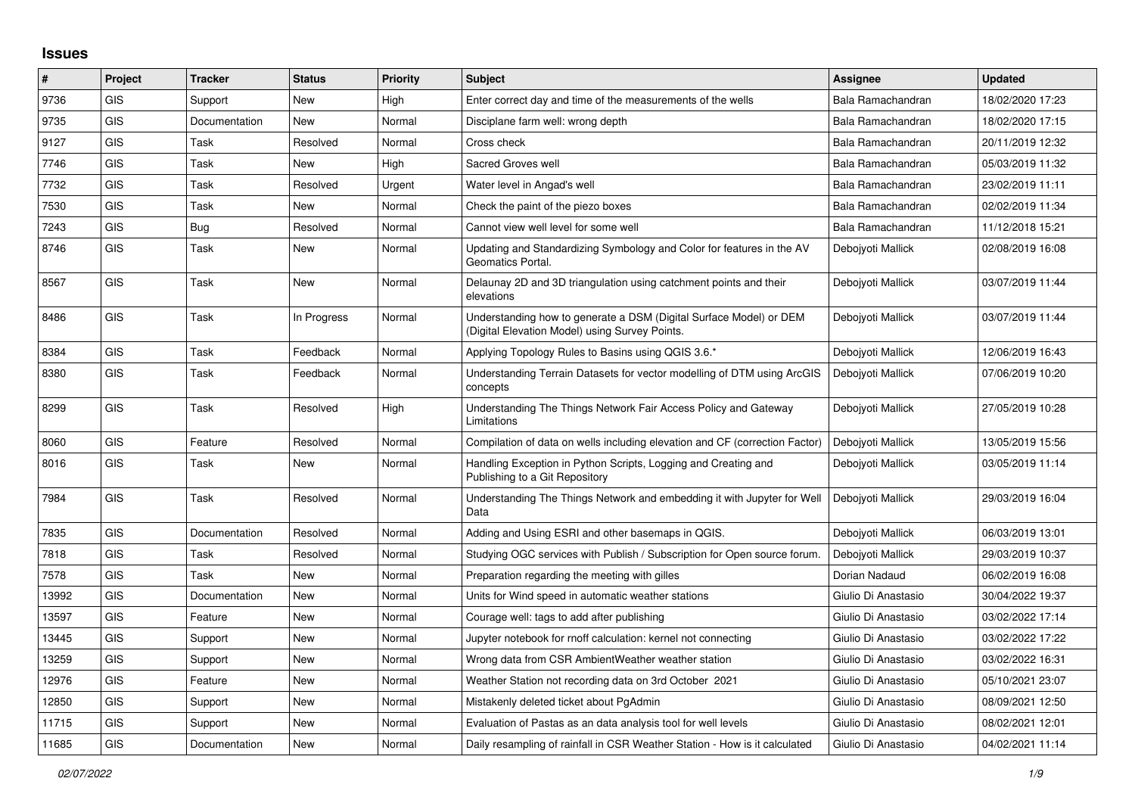## **Issues**

| #     | Project    | <b>Tracker</b> | <b>Status</b> | Priority | <b>Subject</b>                                                                                                      | <b>Assignee</b>     | <b>Updated</b>   |
|-------|------------|----------------|---------------|----------|---------------------------------------------------------------------------------------------------------------------|---------------------|------------------|
| 9736  | GIS        | Support        | <b>New</b>    | High     | Enter correct day and time of the measurements of the wells                                                         | Bala Ramachandran   | 18/02/2020 17:23 |
| 9735  | <b>GIS</b> | Documentation  | New           | Normal   | Disciplane farm well: wrong depth                                                                                   | Bala Ramachandran   | 18/02/2020 17:15 |
| 9127  | <b>GIS</b> | Task           | Resolved      | Normal   | Cross check                                                                                                         | Bala Ramachandran   | 20/11/2019 12:32 |
| 7746  | <b>GIS</b> | Task           | <b>New</b>    | High     | Sacred Groves well                                                                                                  | Bala Ramachandran   | 05/03/2019 11:32 |
| 7732  | <b>GIS</b> | Task           | Resolved      | Urgent   | Water level in Angad's well                                                                                         | Bala Ramachandran   | 23/02/2019 11:11 |
| 7530  | <b>GIS</b> | Task           | <b>New</b>    | Normal   | Check the paint of the piezo boxes                                                                                  | Bala Ramachandran   | 02/02/2019 11:34 |
| 7243  | <b>GIS</b> | Bug            | Resolved      | Normal   | Cannot view well level for some well                                                                                | Bala Ramachandran   | 11/12/2018 15:21 |
| 8746  | <b>GIS</b> | Task           | <b>New</b>    | Normal   | Updating and Standardizing Symbology and Color for features in the AV<br>Geomatics Portal.                          | Deboivoti Mallick   | 02/08/2019 16:08 |
| 8567  | <b>GIS</b> | Task           | <b>New</b>    | Normal   | Delaunay 2D and 3D triangulation using catchment points and their<br>elevations                                     | Deboivoti Mallick   | 03/07/2019 11:44 |
| 8486  | <b>GIS</b> | Task           | In Progress   | Normal   | Understanding how to generate a DSM (Digital Surface Model) or DEM<br>Digital Elevation Model) using Survey Points. | Debojyoti Mallick   | 03/07/2019 11:44 |
| 8384  | <b>GIS</b> | Task           | Feedback      | Normal   | Applying Topology Rules to Basins using QGIS 3.6.*                                                                  | Debojyoti Mallick   | 12/06/2019 16:43 |
| 8380  | <b>GIS</b> | Task           | Feedback      | Normal   | Understanding Terrain Datasets for vector modelling of DTM using ArcGIS<br>concepts                                 | Debojyoti Mallick   | 07/06/2019 10:20 |
| 8299  | <b>GIS</b> | Task           | Resolved      | High     | Understanding The Things Network Fair Access Policy and Gateway<br>Limitations                                      | Deboivoti Mallick   | 27/05/2019 10:28 |
| 8060  | GIS        | Feature        | Resolved      | Normal   | Compilation of data on wells including elevation and CF (correction Factor)                                         | Debojyoti Mallick   | 13/05/2019 15:56 |
| 8016  | <b>GIS</b> | Task           | <b>New</b>    | Normal   | Handling Exception in Python Scripts, Logging and Creating and<br>Publishing to a Git Repository                    | Debojyoti Mallick   | 03/05/2019 11:14 |
| 7984  | <b>GIS</b> | Task           | Resolved      | Normal   | Understanding The Things Network and embedding it with Jupyter for Well<br>Data                                     | Debojyoti Mallick   | 29/03/2019 16:04 |
| 7835  | <b>GIS</b> | Documentation  | Resolved      | Normal   | Adding and Using ESRI and other basemaps in QGIS.                                                                   | Debojyoti Mallick   | 06/03/2019 13:01 |
| 7818  | <b>GIS</b> | Task           | Resolved      | Normal   | Studying OGC services with Publish / Subscription for Open source forum.                                            | Deboivoti Mallick   | 29/03/2019 10:37 |
| 7578  | <b>GIS</b> | Task           | <b>New</b>    | Normal   | Preparation regarding the meeting with gilles                                                                       | Dorian Nadaud       | 06/02/2019 16:08 |
| 13992 | <b>GIS</b> | Documentation  | New           | Normal   | Units for Wind speed in automatic weather stations                                                                  | Giulio Di Anastasio | 30/04/2022 19:37 |
| 13597 | <b>GIS</b> | Feature        | <b>New</b>    | Normal   | Courage well: tags to add after publishing                                                                          | Giulio Di Anastasio | 03/02/2022 17:14 |
| 13445 | <b>GIS</b> | Support        | <b>New</b>    | Normal   | Jupyter notebook for rnoff calculation: kernel not connecting                                                       | Giulio Di Anastasio | 03/02/2022 17:22 |
| 13259 | <b>GIS</b> | Support        | New           | Normal   | Wrong data from CSR AmbientWeather weather station                                                                  | Giulio Di Anastasio | 03/02/2022 16:31 |
| 12976 | <b>GIS</b> | Feature        | New           | Normal   | Weather Station not recording data on 3rd October 2021                                                              | Giulio Di Anastasio | 05/10/2021 23:07 |
| 12850 | <b>GIS</b> | Support        | <b>New</b>    | Normal   | Mistakenly deleted ticket about PgAdmin                                                                             | Giulio Di Anastasio | 08/09/2021 12:50 |
| 11715 | <b>GIS</b> | Support        | <b>New</b>    | Normal   | Evaluation of Pastas as an data analysis tool for well levels                                                       | Giulio Di Anastasio | 08/02/2021 12:01 |
| 11685 | GIS        | Documentation  | New           | Normal   | Daily resampling of rainfall in CSR Weather Station - How is it calculated                                          | Giulio Di Anastasio | 04/02/2021 11:14 |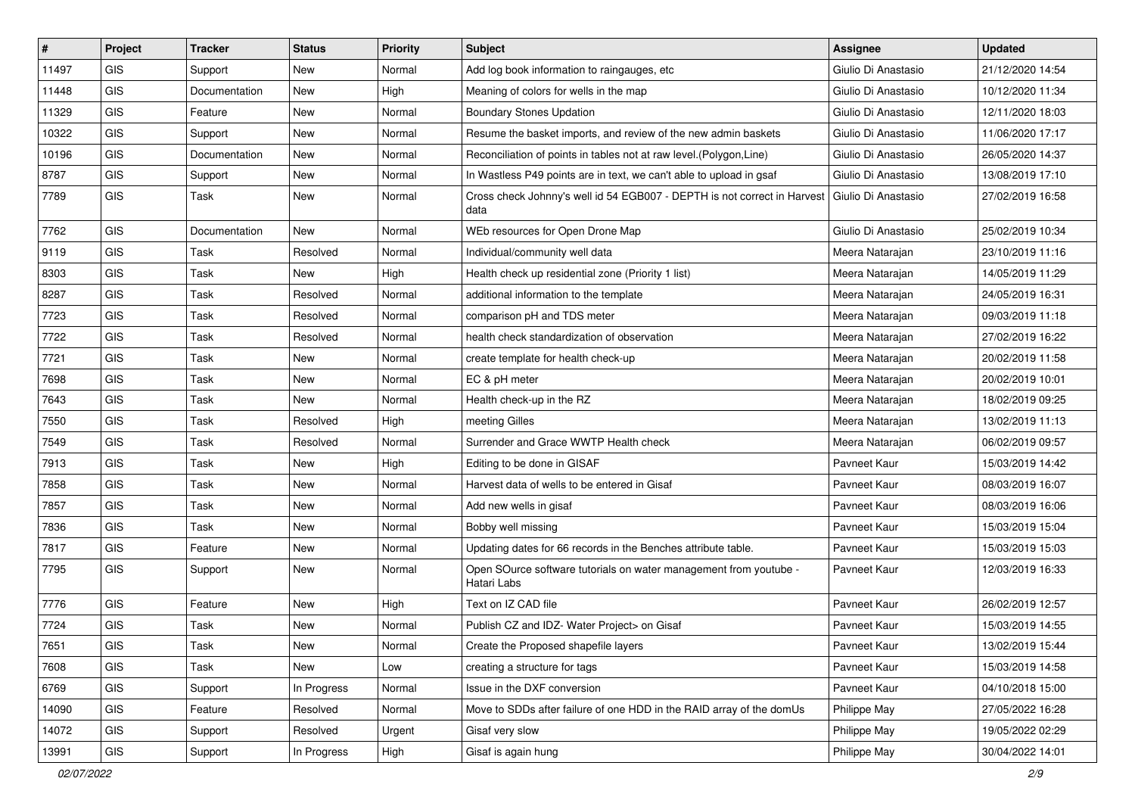| #     | Project    | <b>Tracker</b> | <b>Status</b> | <b>Priority</b> | Subject                                                                          | <b>Assignee</b>     | <b>Updated</b>   |
|-------|------------|----------------|---------------|-----------------|----------------------------------------------------------------------------------|---------------------|------------------|
| 11497 | <b>GIS</b> | Support        | New           | Normal          | Add log book information to raingauges, etc.                                     | Giulio Di Anastasio | 21/12/2020 14:54 |
| 11448 | GIS        | Documentation  | New           | High            | Meaning of colors for wells in the map                                           | Giulio Di Anastasio | 10/12/2020 11:34 |
| 11329 | GIS        | Feature        | New           | Normal          | <b>Boundary Stones Updation</b>                                                  | Giulio Di Anastasio | 12/11/2020 18:03 |
| 10322 | GIS        | Support        | New           | Normal          | Resume the basket imports, and review of the new admin baskets                   | Giulio Di Anastasio | 11/06/2020 17:17 |
| 10196 | GIS        | Documentation  | New           | Normal          | Reconciliation of points in tables not at raw level. (Polygon, Line)             | Giulio Di Anastasio | 26/05/2020 14:37 |
| 8787  | GIS        | Support        | New           | Normal          | In Wastless P49 points are in text, we can't able to upload in gsaf              | Giulio Di Anastasio | 13/08/2019 17:10 |
| 7789  | GIS        | Task           | New           | Normal          | Cross check Johnny's well id 54 EGB007 - DEPTH is not correct in Harvest<br>data | Giulio Di Anastasio | 27/02/2019 16:58 |
| 7762  | GIS        | Documentation  | New           | Normal          | WEb resources for Open Drone Map                                                 | Giulio Di Anastasio | 25/02/2019 10:34 |
| 9119  | GIS        | Task           | Resolved      | Normal          | Individual/community well data                                                   | Meera Natarajan     | 23/10/2019 11:16 |
| 8303  | GIS        | Task           | New           | High            | Health check up residential zone (Priority 1 list)                               | Meera Natarajan     | 14/05/2019 11:29 |
| 8287  | GIS        | Task           | Resolved      | Normal          | additional information to the template                                           | Meera Natarajan     | 24/05/2019 16:31 |
| 7723  | GIS        | Task           | Resolved      | Normal          | comparison pH and TDS meter                                                      | Meera Natarajan     | 09/03/2019 11:18 |
| 7722  | GIS        | Task           | Resolved      | Normal          | health check standardization of observation                                      | Meera Natarajan     | 27/02/2019 16:22 |
| 7721  | GIS        | Task           | New           | Normal          | create template for health check-up                                              | Meera Natarajan     | 20/02/2019 11:58 |
| 7698  | GIS        | Task           | New           | Normal          | EC & pH meter                                                                    | Meera Natarajan     | 20/02/2019 10:01 |
| 7643  | GIS        | Task           | New           | Normal          | Health check-up in the RZ                                                        | Meera Natarajan     | 18/02/2019 09:25 |
| 7550  | GIS        | Task           | Resolved      | High            | meeting Gilles                                                                   | Meera Natarajan     | 13/02/2019 11:13 |
| 7549  | <b>GIS</b> | Task           | Resolved      | Normal          | Surrender and Grace WWTP Health check                                            | Meera Natarajan     | 06/02/2019 09:57 |
| 7913  | GIS        | Task           | <b>New</b>    | High            | Editing to be done in GISAF                                                      | Pavneet Kaur        | 15/03/2019 14:42 |
| 7858  | GIS        | Task           | <b>New</b>    | Normal          | Harvest data of wells to be entered in Gisaf                                     | Payneet Kaur        | 08/03/2019 16:07 |
| 7857  | GIS        | Task           | New           | Normal          | Add new wells in gisaf                                                           | Pavneet Kaur        | 08/03/2019 16:06 |
| 7836  | GIS        | Task           | New           | Normal          | Bobby well missing                                                               | Pavneet Kaur        | 15/03/2019 15:04 |
| 7817  | GIS        | Feature        | New           | Normal          | Updating dates for 66 records in the Benches attribute table.                    | Pavneet Kaur        | 15/03/2019 15:03 |
| 7795  | GIS        | Support        | New           | Normal          | Open SOurce software tutorials on water management from youtube -<br>Hatari Labs | Pavneet Kaur        | 12/03/2019 16:33 |
| 7776  | GIS        | Feature        | <b>New</b>    | High            | Text on IZ CAD file                                                              | Pavneet Kaur        | 26/02/2019 12:57 |
| 7724  | GIS        | Task           | New           | Normal          | Publish CZ and IDZ- Water Project> on Gisaf                                      | Pavneet Kaur        | 15/03/2019 14:55 |
| 7651  | GIS        | Task           | New           | Normal          | Create the Proposed shapefile layers                                             | Pavneet Kaur        | 13/02/2019 15:44 |
| 7608  | GIS        | Task           | New           | Low             | creating a structure for tags                                                    | Pavneet Kaur        | 15/03/2019 14:58 |
| 6769  | GIS        | Support        | In Progress   | Normal          | Issue in the DXF conversion                                                      | Pavneet Kaur        | 04/10/2018 15:00 |
| 14090 | GIS        | Feature        | Resolved      | Normal          | Move to SDDs after failure of one HDD in the RAID array of the domUs             | Philippe May        | 27/05/2022 16:28 |
| 14072 | GIS        | Support        | Resolved      | Urgent          | Gisaf very slow                                                                  | Philippe May        | 19/05/2022 02:29 |
| 13991 | GIS        | Support        | In Progress   | High            | Gisaf is again hung                                                              | Philippe May        | 30/04/2022 14:01 |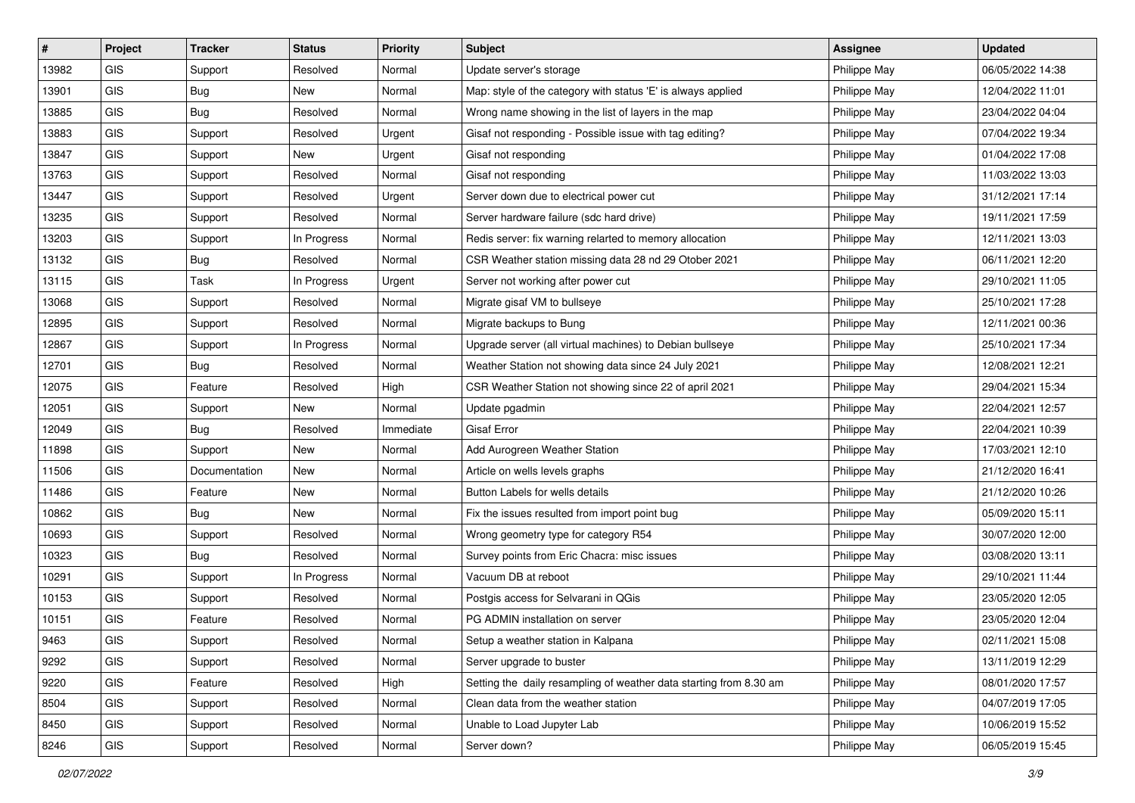| #     | Project    | <b>Tracker</b> | <b>Status</b> | <b>Priority</b> | <b>Subject</b>                                                     | <b>Assignee</b> | <b>Updated</b>   |
|-------|------------|----------------|---------------|-----------------|--------------------------------------------------------------------|-----------------|------------------|
| 13982 | <b>GIS</b> | Support        | Resolved      | Normal          | Update server's storage                                            | Philippe May    | 06/05/2022 14:38 |
| 13901 | <b>GIS</b> | <b>Bug</b>     | New           | Normal          | Map: style of the category with status 'E' is always applied       | Philippe May    | 12/04/2022 11:01 |
| 13885 | GIS        | <b>Bug</b>     | Resolved      | Normal          | Wrong name showing in the list of layers in the map                | Philippe May    | 23/04/2022 04:04 |
| 13883 | GIS        | Support        | Resolved      | Urgent          | Gisaf not responding - Possible issue with tag editing?            | Philippe May    | 07/04/2022 19:34 |
| 13847 | <b>GIS</b> | Support        | New           | Urgent          | Gisaf not responding                                               | Philippe May    | 01/04/2022 17:08 |
| 13763 | <b>GIS</b> | Support        | Resolved      | Normal          | Gisaf not responding                                               | Philippe May    | 11/03/2022 13:03 |
| 13447 | GIS        | Support        | Resolved      | Urgent          | Server down due to electrical power cut                            | Philippe May    | 31/12/2021 17:14 |
| 13235 | GIS        | Support        | Resolved      | Normal          | Server hardware failure (sdc hard drive)                           | Philippe May    | 19/11/2021 17:59 |
| 13203 | GIS        | Support        | In Progress   | Normal          | Redis server: fix warning relarted to memory allocation            | Philippe May    | 12/11/2021 13:03 |
| 13132 | <b>GIS</b> | <b>Bug</b>     | Resolved      | Normal          | CSR Weather station missing data 28 nd 29 Otober 2021              | Philippe May    | 06/11/2021 12:20 |
| 13115 | <b>GIS</b> | Task           | In Progress   | Urgent          | Server not working after power cut                                 | Philippe May    | 29/10/2021 11:05 |
| 13068 | GIS        | Support        | Resolved      | Normal          | Migrate gisaf VM to bullseye                                       | Philippe May    | 25/10/2021 17:28 |
| 12895 | <b>GIS</b> | Support        | Resolved      | Normal          | Migrate backups to Bung                                            | Philippe May    | 12/11/2021 00:36 |
| 12867 | GIS        | Support        | In Progress   | Normal          | Upgrade server (all virtual machines) to Debian bullseye           | Philippe May    | 25/10/2021 17:34 |
| 12701 | GIS        | <b>Bug</b>     | Resolved      | Normal          | Weather Station not showing data since 24 July 2021                | Philippe May    | 12/08/2021 12:21 |
| 12075 | GIS        | Feature        | Resolved      | High            | CSR Weather Station not showing since 22 of april 2021             | Philippe May    | 29/04/2021 15:34 |
| 12051 | GIS        | Support        | New           | Normal          | Update pgadmin                                                     | Philippe May    | 22/04/2021 12:57 |
| 12049 | <b>GIS</b> | Bug            | Resolved      | Immediate       | <b>Gisaf Error</b>                                                 | Philippe May    | 22/04/2021 10:39 |
| 11898 | <b>GIS</b> | Support        | New           | Normal          | Add Aurogreen Weather Station                                      | Philippe May    | 17/03/2021 12:10 |
| 11506 | GIS        | Documentation  | New           | Normal          | Article on wells levels graphs                                     | Philippe May    | 21/12/2020 16:41 |
| 11486 | GIS        | Feature        | New           | Normal          | Button Labels for wells details                                    | Philippe May    | 21/12/2020 10:26 |
| 10862 | GIS        | Bug            | New           | Normal          | Fix the issues resulted from import point bug                      | Philippe May    | 05/09/2020 15:11 |
| 10693 | <b>GIS</b> | Support        | Resolved      | Normal          | Wrong geometry type for category R54                               | Philippe May    | 30/07/2020 12:00 |
| 10323 | <b>GIS</b> | Bug            | Resolved      | Normal          | Survey points from Eric Chacra: misc issues                        | Philippe May    | 03/08/2020 13:11 |
| 10291 | GIS        | Support        | In Progress   | Normal          | Vacuum DB at reboot                                                | Philippe May    | 29/10/2021 11:44 |
| 10153 | <b>GIS</b> | Support        | Resolved      | Normal          | Postgis access for Selvarani in QGis                               | Philippe May    | 23/05/2020 12:05 |
| 10151 | GIS        | Feature        | Resolved      | Normal          | PG ADMIN installation on server                                    | Philippe May    | 23/05/2020 12:04 |
| 9463  | GIS        | Support        | Resolved      | Normal          | Setup a weather station in Kalpana                                 | Philippe May    | 02/11/2021 15:08 |
| 9292  | GIS        | Support        | Resolved      | Normal          | Server upgrade to buster                                           | Philippe May    | 13/11/2019 12:29 |
| 9220  | GIS        | Feature        | Resolved      | High            | Setting the daily resampling of weather data starting from 8.30 am | Philippe May    | 08/01/2020 17:57 |
| 8504  | GIS        | Support        | Resolved      | Normal          | Clean data from the weather station                                | Philippe May    | 04/07/2019 17:05 |
| 8450  | GIS        | Support        | Resolved      | Normal          | Unable to Load Jupyter Lab                                         | Philippe May    | 10/06/2019 15:52 |
| 8246  | GIS        | Support        | Resolved      | Normal          | Server down?                                                       | Philippe May    | 06/05/2019 15:45 |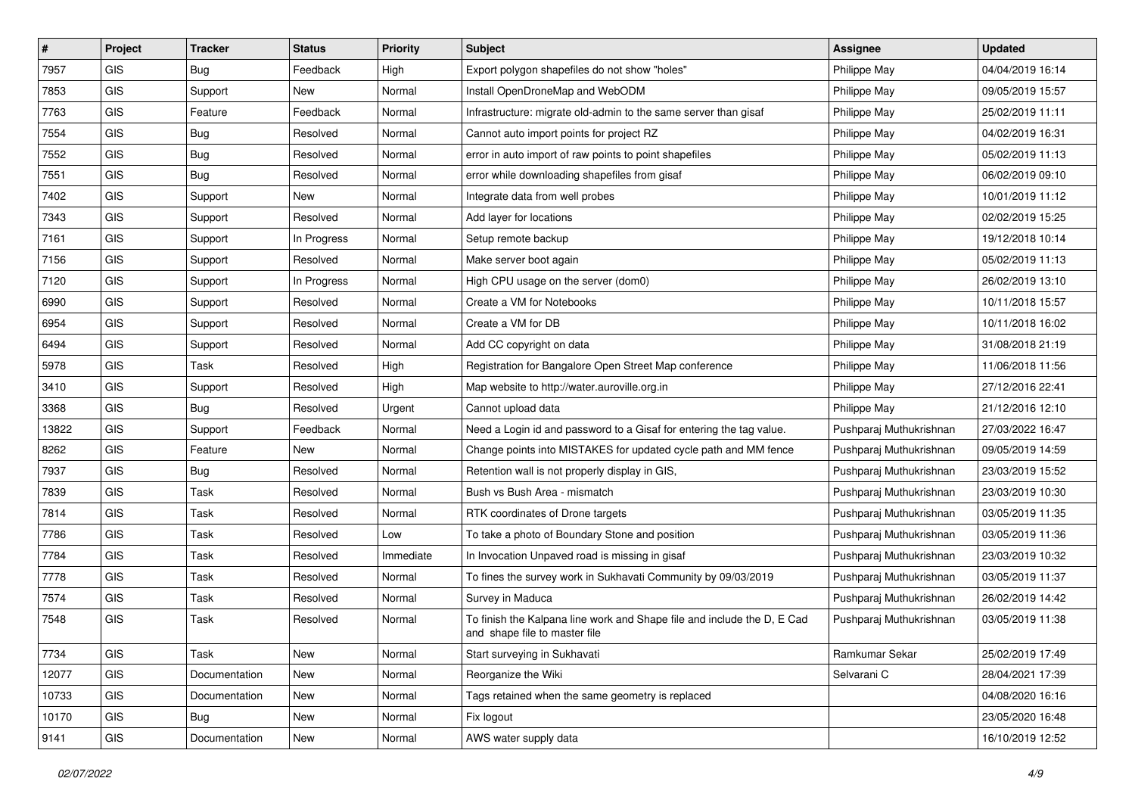| #     | Project    | <b>Tracker</b> | <b>Status</b> | <b>Priority</b> | Subject                                                                                                  | <b>Assignee</b>         | <b>Updated</b>   |
|-------|------------|----------------|---------------|-----------------|----------------------------------------------------------------------------------------------------------|-------------------------|------------------|
| 7957  | GIS        | Bug            | Feedback      | High            | Export polygon shapefiles do not show "holes"                                                            | Philippe May            | 04/04/2019 16:14 |
| 7853  | GIS        | Support        | <b>New</b>    | Normal          | Install OpenDroneMap and WebODM                                                                          | Philippe May            | 09/05/2019 15:57 |
| 7763  | GIS        | Feature        | Feedback      | Normal          | Infrastructure: migrate old-admin to the same server than gisaf                                          | Philippe May            | 25/02/2019 11:11 |
| 7554  | GIS        | <b>Bug</b>     | Resolved      | Normal          | Cannot auto import points for project RZ                                                                 | Philippe May            | 04/02/2019 16:31 |
| 7552  | GIS        | Bug            | Resolved      | Normal          | error in auto import of raw points to point shapefiles                                                   | Philippe May            | 05/02/2019 11:13 |
| 7551  | <b>GIS</b> | Bug            | Resolved      | Normal          | error while downloading shapefiles from gisaf                                                            | Philippe May            | 06/02/2019 09:10 |
| 7402  | GIS        | Support        | New           | Normal          | Integrate data from well probes                                                                          | Philippe May            | 10/01/2019 11:12 |
| 7343  | GIS        | Support        | Resolved      | Normal          | Add layer for locations                                                                                  | Philippe May            | 02/02/2019 15:25 |
| 7161  | GIS        | Support        | In Progress   | Normal          | Setup remote backup                                                                                      | Philippe May            | 19/12/2018 10:14 |
| 7156  | GIS        | Support        | Resolved      | Normal          | Make server boot again                                                                                   | Philippe May            | 05/02/2019 11:13 |
| 7120  | <b>GIS</b> | Support        | In Progress   | Normal          | High CPU usage on the server (dom0)                                                                      | Philippe May            | 26/02/2019 13:10 |
| 6990  | GIS        | Support        | Resolved      | Normal          | Create a VM for Notebooks                                                                                | Philippe May            | 10/11/2018 15:57 |
| 6954  | <b>GIS</b> | Support        | Resolved      | Normal          | Create a VM for DB                                                                                       | Philippe May            | 10/11/2018 16:02 |
| 6494  | GIS        | Support        | Resolved      | Normal          | Add CC copyright on data                                                                                 | Philippe May            | 31/08/2018 21:19 |
| 5978  | GIS        | Task           | Resolved      | High            | Registration for Bangalore Open Street Map conference                                                    | Philippe May            | 11/06/2018 11:56 |
| 3410  | <b>GIS</b> | Support        | Resolved      | High            | Map website to http://water.auroville.org.in                                                             | Philippe May            | 27/12/2016 22:41 |
| 3368  | GIS        | Bug            | Resolved      | Urgent          | Cannot upload data                                                                                       | Philippe May            | 21/12/2016 12:10 |
| 13822 | GIS        | Support        | Feedback      | Normal          | Need a Login id and password to a Gisaf for entering the tag value.                                      | Pushparaj Muthukrishnan | 27/03/2022 16:47 |
| 8262  | GIS        | Feature        | New           | Normal          | Change points into MISTAKES for updated cycle path and MM fence                                          | Pushparaj Muthukrishnan | 09/05/2019 14:59 |
| 7937  | GIS        | Bug            | Resolved      | Normal          | Retention wall is not properly display in GIS,                                                           | Pushparaj Muthukrishnan | 23/03/2019 15:52 |
| 7839  | GIS        | Task           | Resolved      | Normal          | Bush vs Bush Area - mismatch                                                                             | Pushparaj Muthukrishnan | 23/03/2019 10:30 |
| 7814  | GIS        | <b>Task</b>    | Resolved      | Normal          | RTK coordinates of Drone targets                                                                         | Pushparaj Muthukrishnan | 03/05/2019 11:35 |
| 7786  | GIS        | <b>Task</b>    | Resolved      | Low             | To take a photo of Boundary Stone and position                                                           | Pushparaj Muthukrishnan | 03/05/2019 11:36 |
| 7784  | <b>GIS</b> | <b>Task</b>    | Resolved      | Immediate       | In Invocation Unpaved road is missing in gisaf                                                           | Pushparaj Muthukrishnan | 23/03/2019 10:32 |
| 7778  | <b>GIS</b> | Task           | Resolved      | Normal          | To fines the survey work in Sukhavati Community by 09/03/2019                                            | Pushparaj Muthukrishnan | 03/05/2019 11:37 |
| 7574  | <b>GIS</b> | Task           | Resolved      | Normal          | Survey in Maduca                                                                                         | Pushparaj Muthukrishnan | 26/02/2019 14:42 |
| 7548  | GIS        | Task           | Resolved      | Normal          | To finish the Kalpana line work and Shape file and include the D, E Cad<br>and shape file to master file | Pushparaj Muthukrishnan | 03/05/2019 11:38 |
| 7734  | GIS        | Task           | New           | Normal          | Start surveying in Sukhavati                                                                             | Ramkumar Sekar          | 25/02/2019 17:49 |
| 12077 | GIS        | Documentation  | New           | Normal          | Reorganize the Wiki                                                                                      | Selvarani C             | 28/04/2021 17:39 |
| 10733 | GIS        | Documentation  | <b>New</b>    | Normal          | Tags retained when the same geometry is replaced                                                         |                         | 04/08/2020 16:16 |
| 10170 | GIS        | Bug            | New           | Normal          | Fix logout                                                                                               |                         | 23/05/2020 16:48 |
| 9141  | GIS        | Documentation  | New           | Normal          | AWS water supply data                                                                                    |                         | 16/10/2019 12:52 |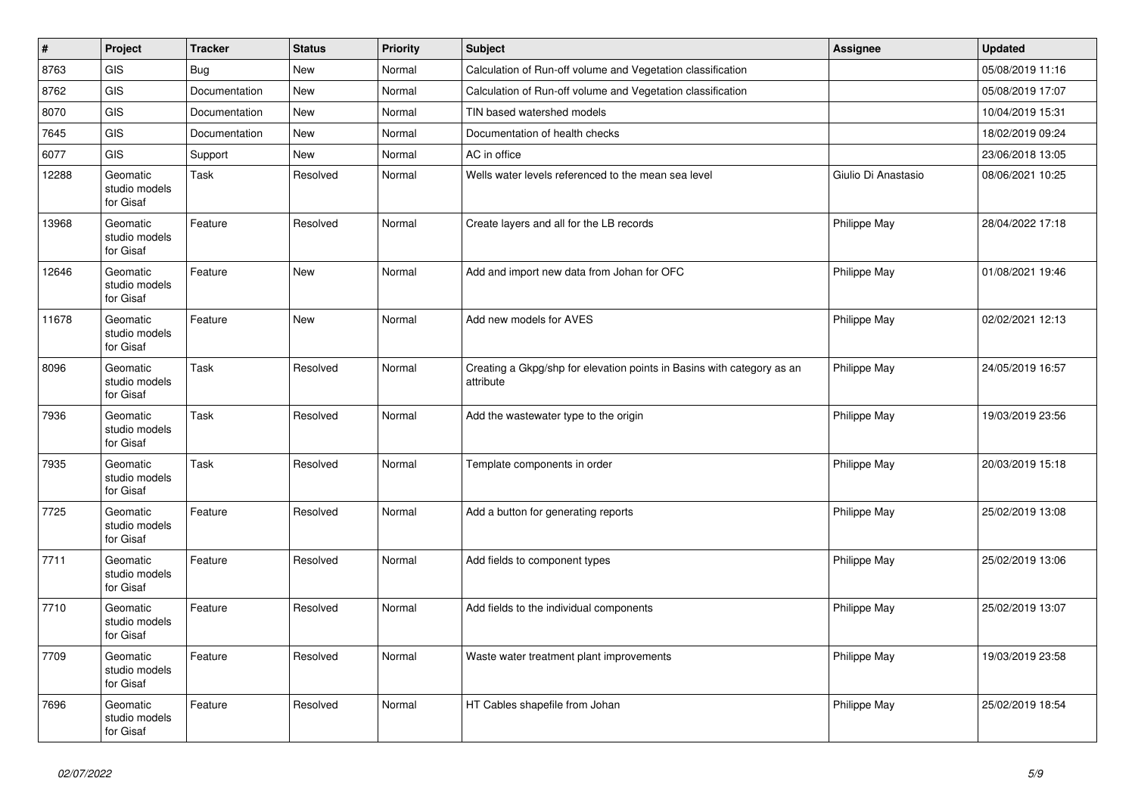| #     | Project                                | <b>Tracker</b> | <b>Status</b> | <b>Priority</b> | <b>Subject</b>                                                                      | <b>Assignee</b>     | <b>Updated</b>   |
|-------|----------------------------------------|----------------|---------------|-----------------|-------------------------------------------------------------------------------------|---------------------|------------------|
| 8763  | GIS                                    | <b>Bug</b>     | <b>New</b>    | Normal          | Calculation of Run-off volume and Vegetation classification                         |                     | 05/08/2019 11:16 |
| 8762  | GIS                                    | Documentation  | <b>New</b>    | Normal          | Calculation of Run-off volume and Vegetation classification                         |                     | 05/08/2019 17:07 |
| 8070  | GIS                                    | Documentation  | <b>New</b>    | Normal          | TIN based watershed models                                                          |                     | 10/04/2019 15:31 |
| 7645  | GIS                                    | Documentation  | New           | Normal          | Documentation of health checks                                                      |                     | 18/02/2019 09:24 |
| 6077  | <b>GIS</b>                             | Support        | <b>New</b>    | Normal          | AC in office                                                                        |                     | 23/06/2018 13:05 |
| 12288 | Geomatic<br>studio models<br>for Gisaf | Task           | Resolved      | Normal          | Wells water levels referenced to the mean sea level                                 | Giulio Di Anastasio | 08/06/2021 10:25 |
| 13968 | Geomatic<br>studio models<br>for Gisaf | Feature        | Resolved      | Normal          | Create layers and all for the LB records                                            | Philippe May        | 28/04/2022 17:18 |
| 12646 | Geomatic<br>studio models<br>for Gisaf | Feature        | <b>New</b>    | Normal          | Add and import new data from Johan for OFC                                          | Philippe May        | 01/08/2021 19:46 |
| 11678 | Geomatic<br>studio models<br>for Gisaf | Feature        | <b>New</b>    | Normal          | Add new models for AVES                                                             | Philippe May        | 02/02/2021 12:13 |
| 8096  | Geomatic<br>studio models<br>for Gisaf | Task           | Resolved      | Normal          | Creating a Gkpg/shp for elevation points in Basins with category as an<br>attribute | Philippe May        | 24/05/2019 16:57 |
| 7936  | Geomatic<br>studio models<br>for Gisaf | Task           | Resolved      | Normal          | Add the wastewater type to the origin                                               | Philippe May        | 19/03/2019 23:56 |
| 7935  | Geomatic<br>studio models<br>for Gisaf | <b>Task</b>    | Resolved      | Normal          | Template components in order                                                        | Philippe May        | 20/03/2019 15:18 |
| 7725  | Geomatic<br>studio models<br>for Gisaf | Feature        | Resolved      | Normal          | Add a button for generating reports                                                 | Philippe May        | 25/02/2019 13:08 |
| 7711  | Geomatic<br>studio models<br>for Gisaf | Feature        | Resolved      | Normal          | Add fields to component types                                                       | Philippe May        | 25/02/2019 13:06 |
| 7710  | Geomatic<br>studio models<br>for Gisaf | Feature        | Resolved      | Normal          | Add fields to the individual components                                             | Philippe May        | 25/02/2019 13:07 |
| 7709  | Geomatic<br>studio models<br>for Gisaf | Feature        | Resolved      | Normal          | Waste water treatment plant improvements                                            | Philippe May        | 19/03/2019 23:58 |
| 7696  | Geomatic<br>studio models<br>for Gisaf | Feature        | Resolved      | Normal          | HT Cables shapefile from Johan                                                      | Philippe May        | 25/02/2019 18:54 |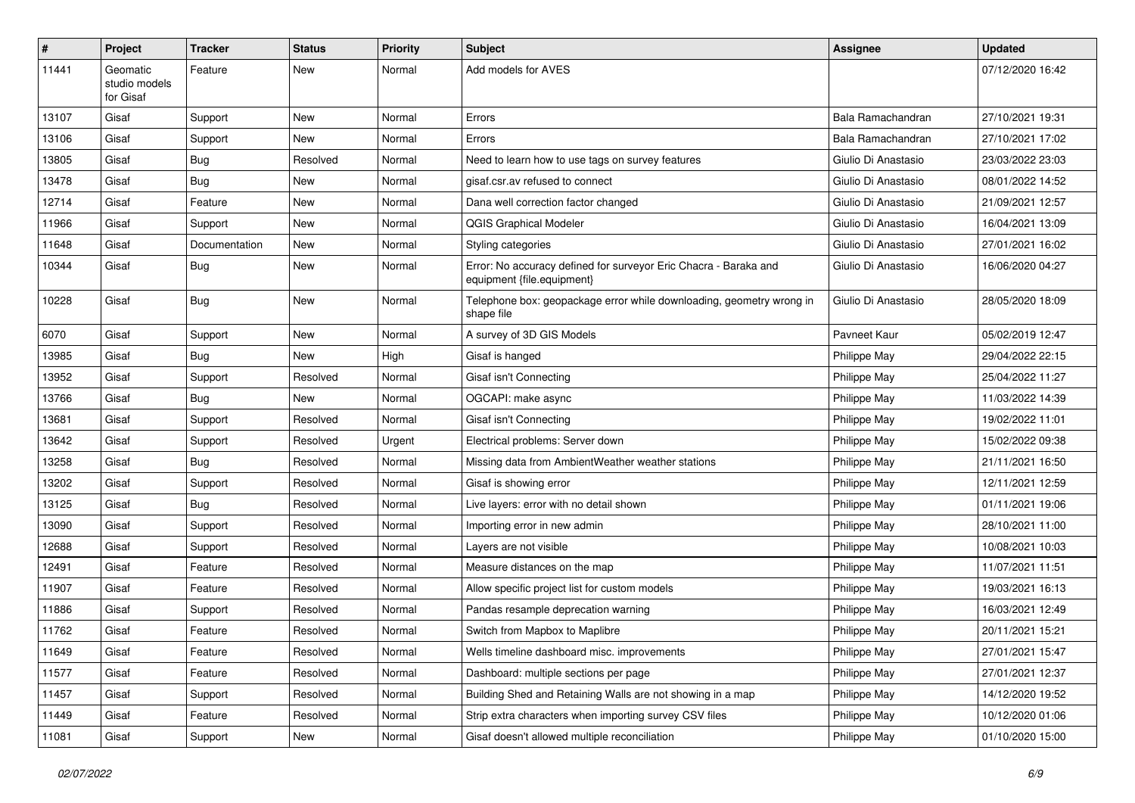| #     | Project                                | <b>Tracker</b> | <b>Status</b> | <b>Priority</b> | <b>Subject</b>                                                                                 | <b>Assignee</b>     | <b>Updated</b>   |
|-------|----------------------------------------|----------------|---------------|-----------------|------------------------------------------------------------------------------------------------|---------------------|------------------|
| 11441 | Geomatic<br>studio models<br>for Gisaf | Feature        | New           | Normal          | Add models for AVES                                                                            |                     | 07/12/2020 16:42 |
| 13107 | Gisaf                                  | Support        | <b>New</b>    | Normal          | Errors                                                                                         | Bala Ramachandran   | 27/10/2021 19:31 |
| 13106 | Gisaf                                  | Support        | New           | Normal          | Errors                                                                                         | Bala Ramachandran   | 27/10/2021 17:02 |
| 13805 | Gisaf                                  | Bug            | Resolved      | Normal          | Need to learn how to use tags on survey features                                               | Giulio Di Anastasio | 23/03/2022 23:03 |
| 13478 | Gisaf                                  | Bug            | <b>New</b>    | Normal          | gisaf.csr.av refused to connect                                                                | Giulio Di Anastasio | 08/01/2022 14:52 |
| 12714 | Gisaf                                  | Feature        | <b>New</b>    | Normal          | Dana well correction factor changed                                                            | Giulio Di Anastasio | 21/09/2021 12:57 |
| 11966 | Gisaf                                  | Support        | New           | Normal          | <b>QGIS Graphical Modeler</b>                                                                  | Giulio Di Anastasio | 16/04/2021 13:09 |
| 11648 | Gisaf                                  | Documentation  | <b>New</b>    | Normal          | Styling categories                                                                             | Giulio Di Anastasio | 27/01/2021 16:02 |
| 10344 | Gisaf                                  | Bug            | <b>New</b>    | Normal          | Error: No accuracy defined for surveyor Eric Chacra - Baraka and<br>equipment {file.equipment} | Giulio Di Anastasio | 16/06/2020 04:27 |
| 10228 | Gisaf                                  | Bug            | <b>New</b>    | Normal          | Telephone box: geopackage error while downloading, geometry wrong in<br>shape file             | Giulio Di Anastasio | 28/05/2020 18:09 |
| 6070  | Gisaf                                  | Support        | <b>New</b>    | Normal          | A survey of 3D GIS Models                                                                      | Pavneet Kaur        | 05/02/2019 12:47 |
| 13985 | Gisaf                                  | Bug            | New           | High            | Gisaf is hanged                                                                                | Philippe May        | 29/04/2022 22:15 |
| 13952 | Gisaf                                  | Support        | Resolved      | Normal          | Gisaf isn't Connecting                                                                         | Philippe May        | 25/04/2022 11:27 |
| 13766 | Gisaf                                  | Bug            | <b>New</b>    | Normal          | OGCAPI: make async                                                                             | Philippe May        | 11/03/2022 14:39 |
| 13681 | Gisaf                                  | Support        | Resolved      | Normal          | Gisaf isn't Connecting                                                                         | Philippe May        | 19/02/2022 11:01 |
| 13642 | Gisaf                                  | Support        | Resolved      | Urgent          | Electrical problems: Server down                                                               | Philippe May        | 15/02/2022 09:38 |
| 13258 | Gisaf                                  | Bug            | Resolved      | Normal          | Missing data from AmbientWeather weather stations                                              | Philippe May        | 21/11/2021 16:50 |
| 13202 | Gisaf                                  | Support        | Resolved      | Normal          | Gisaf is showing error                                                                         | Philippe May        | 12/11/2021 12:59 |
| 13125 | Gisaf                                  | Bug            | Resolved      | Normal          | Live layers: error with no detail shown                                                        | Philippe May        | 01/11/2021 19:06 |
| 13090 | Gisaf                                  | Support        | Resolved      | Normal          | Importing error in new admin                                                                   | Philippe May        | 28/10/2021 11:00 |
| 12688 | Gisaf                                  | Support        | Resolved      | Normal          | Layers are not visible                                                                         | Philippe May        | 10/08/2021 10:03 |
| 12491 | Gisaf                                  | Feature        | Resolved      | Normal          | Measure distances on the map                                                                   | Philippe May        | 11/07/2021 11:51 |
| 11907 | Gisaf                                  | Feature        | Resolved      | Normal          | Allow specific project list for custom models                                                  | Philippe May        | 19/03/2021 16:13 |
| 11886 | Gisaf                                  | Support        | Resolved      | Normal          | Pandas resample deprecation warning                                                            | Philippe May        | 16/03/2021 12:49 |
| 11762 | Gisaf                                  | Feature        | Resolved      | Normal          | Switch from Mapbox to Maplibre                                                                 | Philippe May        | 20/11/2021 15:21 |
| 11649 | Gisaf                                  | Feature        | Resolved      | Normal          | Wells timeline dashboard misc. improvements                                                    | Philippe May        | 27/01/2021 15:47 |
| 11577 | Gisaf                                  | Feature        | Resolved      | Normal          | Dashboard: multiple sections per page                                                          | Philippe May        | 27/01/2021 12:37 |
| 11457 | Gisaf                                  | Support        | Resolved      | Normal          | Building Shed and Retaining Walls are not showing in a map                                     | Philippe May        | 14/12/2020 19:52 |
| 11449 | Gisaf                                  | Feature        | Resolved      | Normal          | Strip extra characters when importing survey CSV files                                         | Philippe May        | 10/12/2020 01:06 |
| 11081 | Gisaf                                  | Support        | New           | Normal          | Gisaf doesn't allowed multiple reconciliation                                                  | Philippe May        | 01/10/2020 15:00 |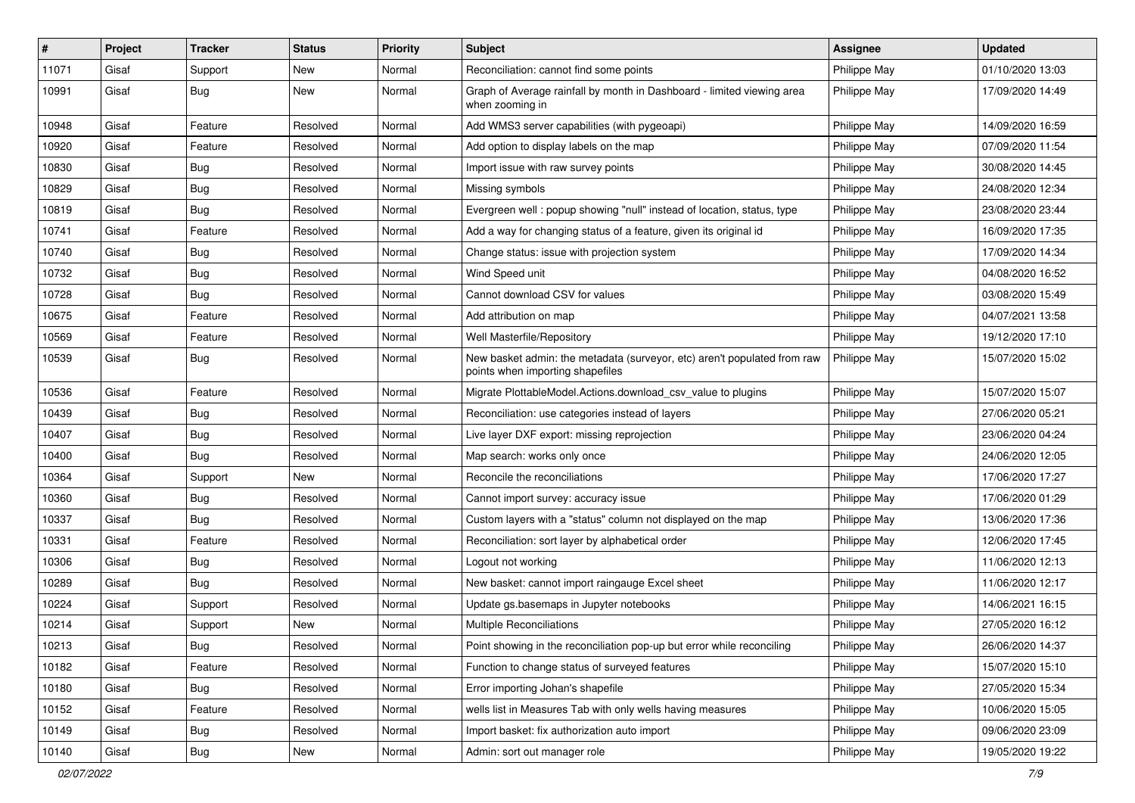| #     | Project | <b>Tracker</b> | <b>Status</b> | Priority | Subject                                                                                                      | <b>Assignee</b> | <b>Updated</b>   |
|-------|---------|----------------|---------------|----------|--------------------------------------------------------------------------------------------------------------|-----------------|------------------|
| 11071 | Gisaf   | Support        | New           | Normal   | Reconciliation: cannot find some points                                                                      | Philippe May    | 01/10/2020 13:03 |
| 10991 | Gisaf   | Bug            | New           | Normal   | Graph of Average rainfall by month in Dashboard - limited viewing area<br>when zooming in                    | Philippe May    | 17/09/2020 14:49 |
| 10948 | Gisaf   | Feature        | Resolved      | Normal   | Add WMS3 server capabilities (with pygeoapi)                                                                 | Philippe May    | 14/09/2020 16:59 |
| 10920 | Gisaf   | Feature        | Resolved      | Normal   | Add option to display labels on the map                                                                      | Philippe May    | 07/09/2020 11:54 |
| 10830 | Gisaf   | <b>Bug</b>     | Resolved      | Normal   | Import issue with raw survey points                                                                          | Philippe May    | 30/08/2020 14:45 |
| 10829 | Gisaf   | Bug            | Resolved      | Normal   | Missing symbols                                                                                              | Philippe May    | 24/08/2020 12:34 |
| 10819 | Gisaf   | <b>Bug</b>     | Resolved      | Normal   | Evergreen well: popup showing "null" instead of location, status, type                                       | Philippe May    | 23/08/2020 23:44 |
| 10741 | Gisaf   | Feature        | Resolved      | Normal   | Add a way for changing status of a feature, given its original id                                            | Philippe May    | 16/09/2020 17:35 |
| 10740 | Gisaf   | Bug            | Resolved      | Normal   | Change status: issue with projection system                                                                  | Philippe May    | 17/09/2020 14:34 |
| 10732 | Gisaf   | <b>Bug</b>     | Resolved      | Normal   | Wind Speed unit                                                                                              | Philippe May    | 04/08/2020 16:52 |
| 10728 | Gisaf   | Bug            | Resolved      | Normal   | Cannot download CSV for values                                                                               | Philippe May    | 03/08/2020 15:49 |
| 10675 | Gisaf   | Feature        | Resolved      | Normal   | Add attribution on map                                                                                       | Philippe May    | 04/07/2021 13:58 |
| 10569 | Gisaf   | Feature        | Resolved      | Normal   | Well Masterfile/Repository                                                                                   | Philippe May    | 19/12/2020 17:10 |
| 10539 | Gisaf   | Bug            | Resolved      | Normal   | New basket admin: the metadata (surveyor, etc) aren't populated from raw<br>points when importing shapefiles | Philippe May    | 15/07/2020 15:02 |
| 10536 | Gisaf   | Feature        | Resolved      | Normal   | Migrate PlottableModel.Actions.download csv value to plugins                                                 | Philippe May    | 15/07/2020 15:07 |
| 10439 | Gisaf   | <b>Bug</b>     | Resolved      | Normal   | Reconciliation: use categories instead of layers                                                             | Philippe May    | 27/06/2020 05:21 |
| 10407 | Gisaf   | <b>Bug</b>     | Resolved      | Normal   | Live layer DXF export: missing reprojection                                                                  | Philippe May    | 23/06/2020 04:24 |
| 10400 | Gisaf   | Bug            | Resolved      | Normal   | Map search: works only once                                                                                  | Philippe May    | 24/06/2020 12:05 |
| 10364 | Gisaf   | Support        | New           | Normal   | Reconcile the reconciliations                                                                                | Philippe May    | 17/06/2020 17:27 |
| 10360 | Gisaf   | <b>Bug</b>     | Resolved      | Normal   | Cannot import survey: accuracy issue                                                                         | Philippe May    | 17/06/2020 01:29 |
| 10337 | Gisaf   | Bug            | Resolved      | Normal   | Custom layers with a "status" column not displayed on the map                                                | Philippe May    | 13/06/2020 17:36 |
| 10331 | Gisaf   | Feature        | Resolved      | Normal   | Reconciliation: sort layer by alphabetical order                                                             | Philippe May    | 12/06/2020 17:45 |
| 10306 | Gisaf   | <b>Bug</b>     | Resolved      | Normal   | Logout not working                                                                                           | Philippe May    | 11/06/2020 12:13 |
| 10289 | Gisaf   | Bug            | Resolved      | Normal   | New basket: cannot import raingauge Excel sheet                                                              | Philippe May    | 11/06/2020 12:17 |
| 10224 | Gisaf   | Support        | Resolved      | Normal   | Update gs.basemaps in Jupyter notebooks                                                                      | Philippe May    | 14/06/2021 16:15 |
| 10214 | Gisaf   | Support        | New           | Normal   | <b>Multiple Reconciliations</b>                                                                              | Philippe May    | 27/05/2020 16:12 |
| 10213 | Gisaf   | Bug            | Resolved      | Normal   | Point showing in the reconciliation pop-up but error while reconciling                                       | Philippe May    | 26/06/2020 14:37 |
| 10182 | Gisaf   | Feature        | Resolved      | Normal   | Function to change status of surveyed features                                                               | Philippe May    | 15/07/2020 15:10 |
| 10180 | Gisaf   | Bug            | Resolved      | Normal   | Error importing Johan's shapefile                                                                            | Philippe May    | 27/05/2020 15:34 |
| 10152 | Gisaf   | Feature        | Resolved      | Normal   | wells list in Measures Tab with only wells having measures                                                   | Philippe May    | 10/06/2020 15:05 |
| 10149 | Gisaf   | <b>Bug</b>     | Resolved      | Normal   | Import basket: fix authorization auto import                                                                 | Philippe May    | 09/06/2020 23:09 |
| 10140 | Gisaf   | <b>Bug</b>     | New           | Normal   | Admin: sort out manager role                                                                                 | Philippe May    | 19/05/2020 19:22 |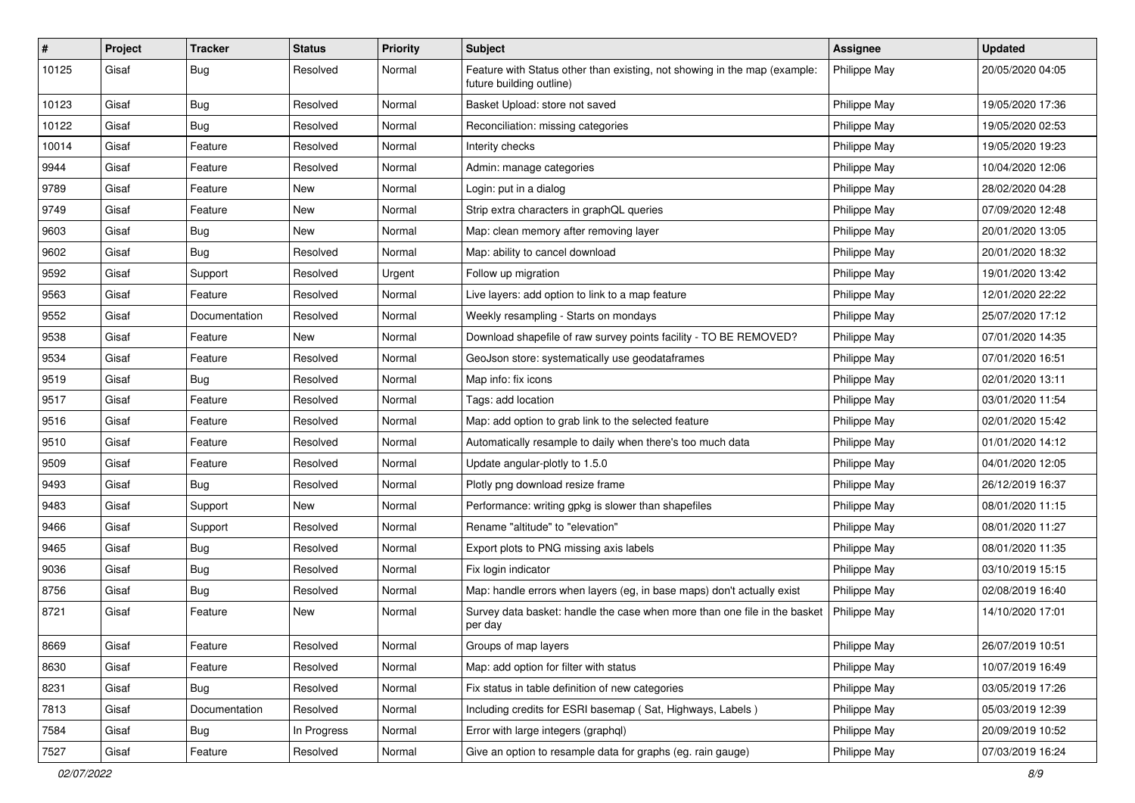| #     | Project | <b>Tracker</b> | <b>Status</b> | <b>Priority</b> | Subject                                                                                               | Assignee     | <b>Updated</b>   |
|-------|---------|----------------|---------------|-----------------|-------------------------------------------------------------------------------------------------------|--------------|------------------|
| 10125 | Gisaf   | <b>Bug</b>     | Resolved      | Normal          | Feature with Status other than existing, not showing in the map (example:<br>future building outline) | Philippe May | 20/05/2020 04:05 |
| 10123 | Gisaf   | <b>Bug</b>     | Resolved      | Normal          | Basket Upload: store not saved                                                                        | Philippe May | 19/05/2020 17:36 |
| 10122 | Gisaf   | <b>Bug</b>     | Resolved      | Normal          | Reconciliation: missing categories                                                                    | Philippe May | 19/05/2020 02:53 |
| 10014 | Gisaf   | Feature        | Resolved      | Normal          | Interity checks                                                                                       | Philippe May | 19/05/2020 19:23 |
| 9944  | Gisaf   | Feature        | Resolved      | Normal          | Admin: manage categories                                                                              | Philippe May | 10/04/2020 12:06 |
| 9789  | Gisaf   | Feature        | New           | Normal          | Login: put in a dialog                                                                                | Philippe May | 28/02/2020 04:28 |
| 9749  | Gisaf   | Feature        | New           | Normal          | Strip extra characters in graphQL queries                                                             | Philippe May | 07/09/2020 12:48 |
| 9603  | Gisaf   | <b>Bug</b>     | New           | Normal          | Map: clean memory after removing layer                                                                | Philippe May | 20/01/2020 13:05 |
| 9602  | Gisaf   | Bug            | Resolved      | Normal          | Map: ability to cancel download                                                                       | Philippe May | 20/01/2020 18:32 |
| 9592  | Gisaf   | Support        | Resolved      | Urgent          | Follow up migration                                                                                   | Philippe May | 19/01/2020 13:42 |
| 9563  | Gisaf   | Feature        | Resolved      | Normal          | Live layers: add option to link to a map feature                                                      | Philippe May | 12/01/2020 22:22 |
| 9552  | Gisaf   | Documentation  | Resolved      | Normal          | Weekly resampling - Starts on mondays                                                                 | Philippe May | 25/07/2020 17:12 |
| 9538  | Gisaf   | Feature        | New           | Normal          | Download shapefile of raw survey points facility - TO BE REMOVED?                                     | Philippe May | 07/01/2020 14:35 |
| 9534  | Gisaf   | Feature        | Resolved      | Normal          | GeoJson store: systematically use geodataframes                                                       | Philippe May | 07/01/2020 16:51 |
| 9519  | Gisaf   | <b>Bug</b>     | Resolved      | Normal          | Map info: fix icons                                                                                   | Philippe May | 02/01/2020 13:11 |
| 9517  | Gisaf   | Feature        | Resolved      | Normal          | Tags: add location                                                                                    | Philippe May | 03/01/2020 11:54 |
| 9516  | Gisaf   | Feature        | Resolved      | Normal          | Map: add option to grab link to the selected feature                                                  | Philippe May | 02/01/2020 15:42 |
| 9510  | Gisaf   | Feature        | Resolved      | Normal          | Automatically resample to daily when there's too much data                                            | Philippe May | 01/01/2020 14:12 |
| 9509  | Gisaf   | Feature        | Resolved      | Normal          | Update angular-plotly to 1.5.0                                                                        | Philippe May | 04/01/2020 12:05 |
| 9493  | Gisaf   | <b>Bug</b>     | Resolved      | Normal          | Plotly png download resize frame                                                                      | Philippe May | 26/12/2019 16:37 |
| 9483  | Gisaf   | Support        | New           | Normal          | Performance: writing gpkg is slower than shapefiles                                                   | Philippe May | 08/01/2020 11:15 |
| 9466  | Gisaf   | Support        | Resolved      | Normal          | Rename "altitude" to "elevation"                                                                      | Philippe May | 08/01/2020 11:27 |
| 9465  | Gisaf   | <b>Bug</b>     | Resolved      | Normal          | Export plots to PNG missing axis labels                                                               | Philippe May | 08/01/2020 11:35 |
| 9036  | Gisaf   | <b>Bug</b>     | Resolved      | Normal          | Fix login indicator                                                                                   | Philippe May | 03/10/2019 15:15 |
| 8756  | Gisaf   | Bug            | Resolved      | Normal          | Map: handle errors when layers (eg, in base maps) don't actually exist                                | Philippe May | 02/08/2019 16:40 |
| 8721  | Gisaf   | Feature        | <b>New</b>    | Normal          | Survey data basket: handle the case when more than one file in the basket<br>per day                  | Philippe May | 14/10/2020 17:01 |
| 8669  | Gisaf   | Feature        | Resolved      | Normal          | Groups of map layers                                                                                  | Philippe May | 26/07/2019 10:51 |
| 8630  | Gisaf   | Feature        | Resolved      | Normal          | Map: add option for filter with status                                                                | Philippe May | 10/07/2019 16:49 |
| 8231  | Gisaf   | Bug            | Resolved      | Normal          | Fix status in table definition of new categories                                                      | Philippe May | 03/05/2019 17:26 |
| 7813  | Gisaf   | Documentation  | Resolved      | Normal          | Including credits for ESRI basemap (Sat, Highways, Labels)                                            | Philippe May | 05/03/2019 12:39 |
| 7584  | Gisaf   | <b>Bug</b>     | In Progress   | Normal          | Error with large integers (graphql)                                                                   | Philippe May | 20/09/2019 10:52 |
| 7527  | Gisaf   | Feature        | Resolved      | Normal          | Give an option to resample data for graphs (eg. rain gauge)                                           | Philippe May | 07/03/2019 16:24 |